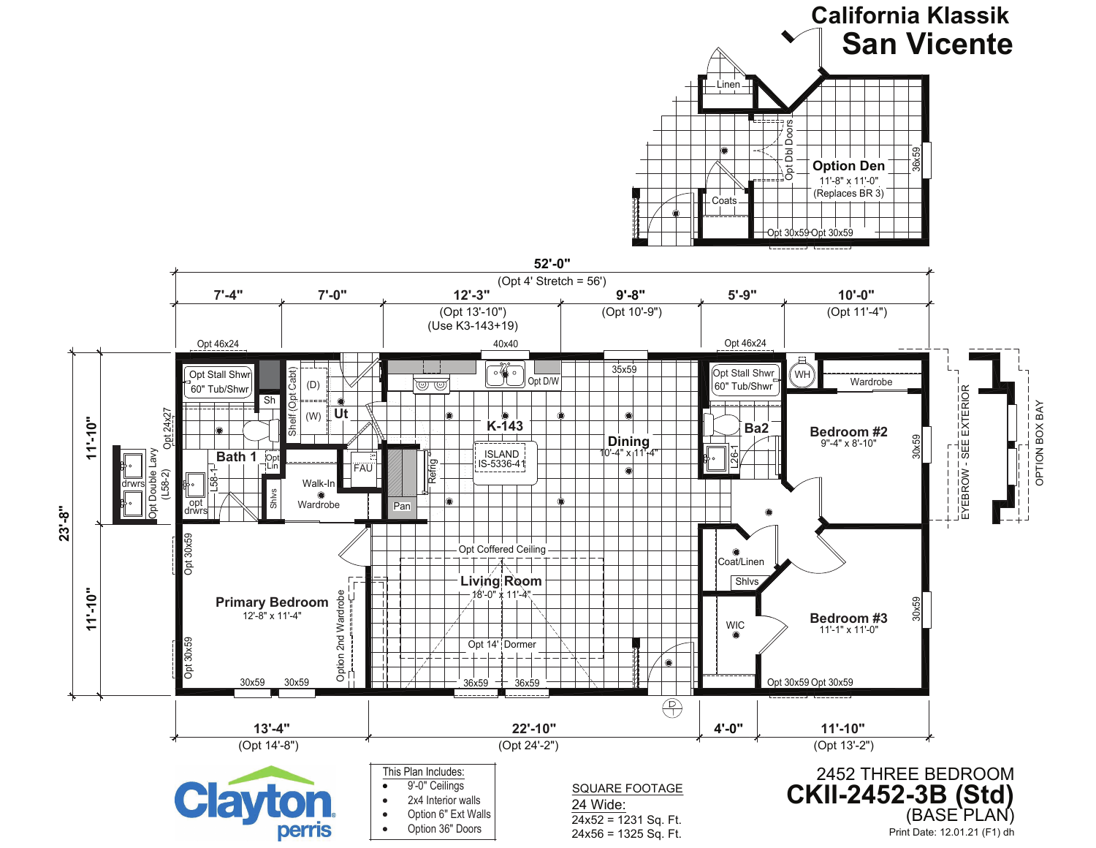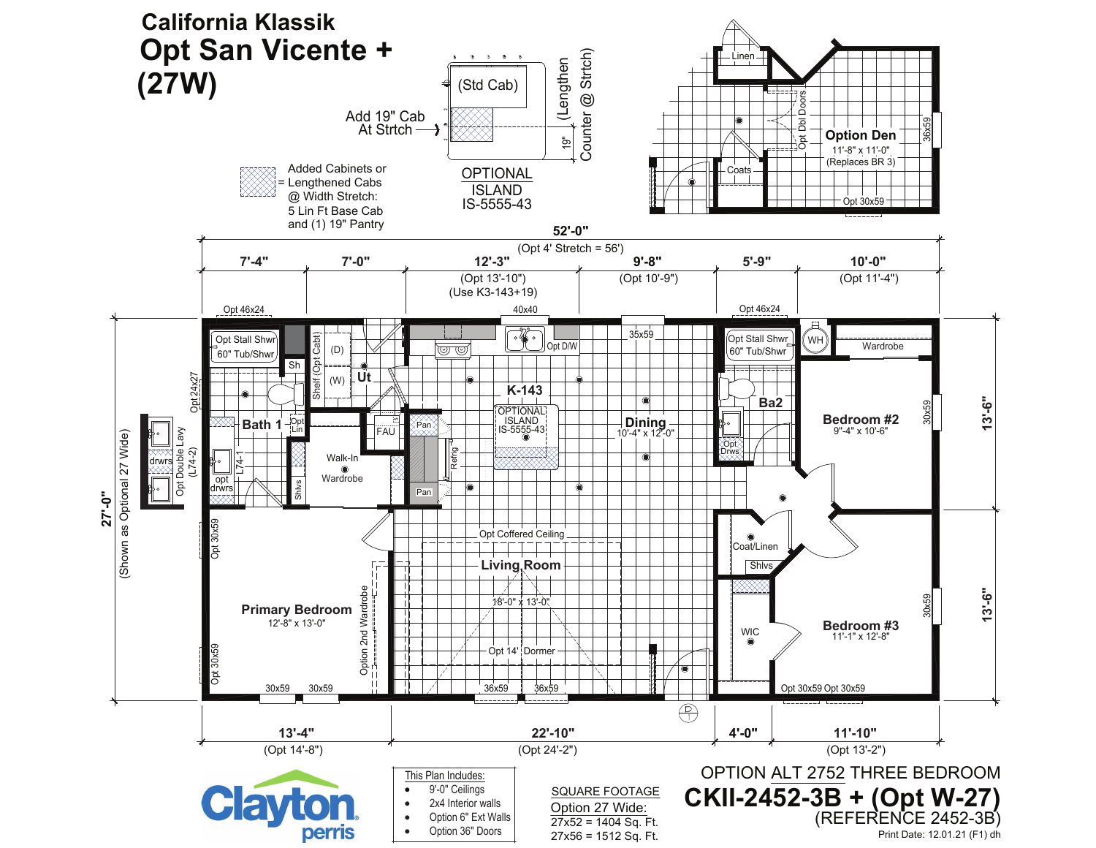